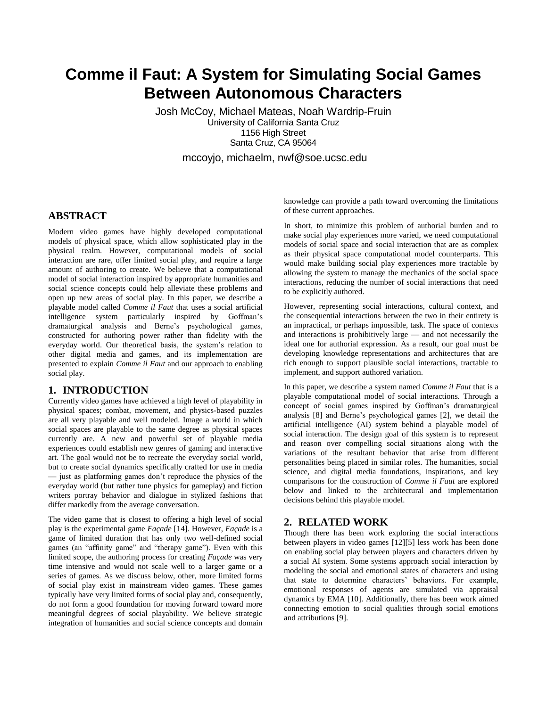# **Comme il Faut: A System for Simulating Social Games Between Autonomous Characters**

Josh McCoy, Michael Mateas, Noah Wardrip-Fruin University of California Santa Cruz 1156 High Street Santa Cruz, CA 95064

mccoyjo, michaelm, nwf@soe.ucsc.edu

# **ABSTRACT**

Modern video games have highly developed computational models of physical space, which allow sophisticated play in the physical realm. However, computational models of social interaction are rare, offer limited social play, and require a large amount of authoring to create. We believe that a computational model of social interaction inspired by appropriate humanities and social science concepts could help alleviate these problems and open up new areas of social play. In this paper, we describe a playable model called *Comme il Faut* that uses a social artificial intelligence system particularly inspired by Goffman's dramaturgical analysis and Berne's psychological games, constructed for authoring power rather than fidelity with the everyday world. Our theoretical basis, the system's relation to other digital media and games, and its implementation are presented to explain *Comme il Faut* and our approach to enabling social play.

# **1. INTRODUCTION**

Currently video games have achieved a high level of playability in physical spaces; combat, movement, and physics-based puzzles are all very playable and well modeled. Image a world in which social spaces are playable to the same degree as physical spaces currently are. A new and powerful set of playable media experiences could establish new genres of gaming and interactive art. The goal would not be to recreate the everyday social world, but to create social dynamics specifically crafted for use in media — just as platforming games don't reproduce the physics of the everyday world (but rather tune physics for gameplay) and fiction writers portray behavior and dialogue in stylized fashions that differ markedly from the average conversation.

The video game that is closest to offering a high level of social play is the experimental game *Façade* [14]. However, *Façade* is a game of limited duration that has only two well-defined social games (an "affinity game" and "therapy game"). Even with this limited scope, the authoring process for creating *Façade* was very time intensive and would not scale well to a larger game or a series of games. As we discuss below, other, more limited forms of social play exist in mainstream video games. These games typically have very limited forms of social play and, consequently, do not form a good foundation for moving forward toward more meaningful degrees of social playability. We believe strategic integration of humanities and social science concepts and domain

knowledge can provide a path toward overcoming the limitations of these current approaches.

In short, to minimize this problem of authorial burden and to make social play experiences more varied, we need computational models of social space and social interaction that are as complex as their physical space computational model counterparts. This would make building social play experiences more tractable by allowing the system to manage the mechanics of the social space interactions, reducing the number of social interactions that need to be explicitly authored.

However, representing social interactions, cultural context, and the consequential interactions between the two in their entirety is an impractical, or perhaps impossible, task. The space of contexts and interactions is prohibitively large — and not necessarily the ideal one for authorial expression. As a result, our goal must be developing knowledge representations and architectures that are rich enough to support plausible social interactions, tractable to implement, and support authored variation.

In this paper, we describe a system named *Comme il Faut* that is a playable computational model of social interactions. Through a concept of social games inspired by Goffman's dramaturgical analysis [\[8\]](#page-9-0) and Berne's psychological games [\[2\],](#page-9-1) we detail the artificial intelligence (AI) system behind a playable model of social interaction. The design goal of this system is to represent and reason over compelling social situations along with the variations of the resultant behavior that arise from different personalities being placed in similar roles. The humanities, social science, and digital media foundations, inspirations, and key comparisons for the construction of *Comme il Faut* are explored below and linked to the architectural and implementation decisions behind this playable model.

# **2. RELATED WORK**

Though there has been work exploring the social interactions between players in video games [12][5] less work has been done on enabling social play between players and characters driven by a social AI system. Some systems approach social interaction by modeling the social and emotional states of characters and using that state to determine characters' behaviors. For example, emotional responses of agents are simulated via appraisal dynamics by EMA [10]. Additionally, there has been work aimed connecting emotion to social qualities through social emotions and attributions [9].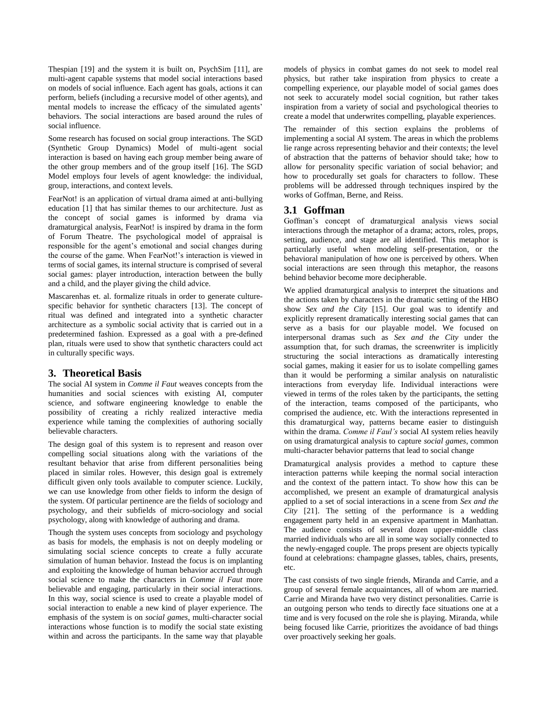Thespian [19] and the system it is built on, PsychSim [11], are multi-agent capable systems that model social interactions based on models of social influence. Each agent has goals, actions it can perform, beliefs (including a recursive model of other agents), and mental models to increase the efficacy of the simulated agents' behaviors. The social interactions are based around the rules of social influence.

Some research has focused on social group interactions. The SGD (Synthetic Group Dynamics) Model of multi-agent social interaction is based on having each group member being aware of the other group members and of the group itself [16]. The SGD Model employs four levels of agent knowledge: the individual, group, interactions, and context levels.

FearNot! is an application of virtual drama aimed at anti-bullying education [1] that has similar themes to our architecture. Just as the concept of social games is informed by drama via dramaturgical analysis, FearNot! is inspired by drama in the form of Forum Theatre. The psychological model of appraisal is responsible for the agent's emotional and social changes during the course of the game. When FearNot!'s interaction is viewed in terms of social games, its internal structure is comprised of several social games: player introduction, interaction between the bully and a child, and the player giving the child advice.

Mascarenhas et. al. formalize rituals in order to generate culturespecific behavior for synthetic characters [13]. The concept of ritual was defined and integrated into a synthetic character architecture as a symbolic social activity that is carried out in a predetermined fashion. Expressed as a goal with a pre-defined plan, rituals were used to show that synthetic characters could act in culturally specific ways.

# **3. Theoretical Basis**

The social AI system in *Comme il Faut* weaves concepts from the humanities and social sciences with existing AI, computer science, and software engineering knowledge to enable the possibility of creating a richly realized interactive media experience while taming the complexities of authoring socially believable characters.

The design goal of this system is to represent and reason over compelling social situations along with the variations of the resultant behavior that arise from different personalities being placed in similar roles. However, this design goal is extremely difficult given only tools available to computer science. Luckily, we can use knowledge from other fields to inform the design of the system. Of particular pertinence are the fields of sociology and psychology, and their subfields of micro-sociology and social psychology, along with knowledge of authoring and drama.

Though the system uses concepts from sociology and psychology as basis for models, the emphasis is not on deeply modeling or simulating social science concepts to create a fully accurate simulation of human behavior. Instead the focus is on implanting and exploiting the knowledge of human behavior accrued through social science to make the characters in *Comme il Faut* more believable and engaging, particularly in their social interactions. In this way, social science is used to create a playable model of social interaction to enable a new kind of player experience. The emphasis of the system is on *social games*, multi-character social interactions whose function is to modify the social state existing within and across the participants. In the same way that playable models of physics in combat games do not seek to model real physics, but rather take inspiration from physics to create a compelling experience, our playable model of social games does not seek to accurately model social cognition, but rather takes inspiration from a variety of social and psychological theories to create a model that underwrites compelling, playable experiences.

The remainder of this section explains the problems of implementing a social AI system. The areas in which the problems lie range across representing behavior and their contexts; the level of abstraction that the patterns of behavior should take; how to allow for personality specific variation of social behavior; and how to procedurally set goals for characters to follow. These problems will be addressed through techniques inspired by the works of Goffman, Berne, and Reiss.

## **3.1 Goffman**

Goffman's concept of dramaturgical analysis views social interactions through the metaphor of a drama; actors, roles, props, setting, audience, and stage are all identified. This metaphor is particularly useful when modeling self-presentation, or the behavioral manipulation of how one is perceived by others. When social interactions are seen through this metaphor, the reasons behind behavior become more decipherable.

We applied dramaturgical analysis to interpret the situations and the actions taken by characters in the dramatic setting of the HBO show *Sex and the City* [15]. Our goal was to identify and explicitly represent dramatically interesting social games that can serve as a basis for our playable model. We focused on interpersonal dramas such as *Sex and the City* under the assumption that, for such dramas, the screenwriter is implicitly structuring the social interactions as dramatically interesting social games, making it easier for us to isolate compelling games than it would be performing a similar analysis on naturalistic interactions from everyday life. Individual interactions were viewed in terms of the roles taken by the participants, the setting of the interaction, teams composed of the participants, who comprised the audience, etc. With the interactions represented in this dramaturgical way, patterns became easier to distinguish within the drama. *Comme il Faul's* social AI system relies heavily on using dramaturgical analysis to capture *social games*, common multi-character behavior patterns that lead to social change

Dramaturgical analysis provides a method to capture these interaction patterns while keeping the normal social interaction and the context of the pattern intact. To show how this can be accomplished, we present an example of dramaturgical analysis applied to a set of social interactions in a scene from *Sex and the City* [21]. The setting of the performance is a wedding engagement party held in an expensive apartment in Manhattan. The audience consists of several dozen upper-middle class married individuals who are all in some way socially connected to the newly-engaged couple. The props present are objects typically found at celebrations: champagne glasses, tables, chairs, presents, etc.

The cast consists of two single friends, Miranda and Carrie, and a group of several female acquaintances, all of whom are married. Carrie and Miranda have two very distinct personalities. Carrie is an outgoing person who tends to directly face situations one at a time and is very focused on the role she is playing. Miranda, while being focused like Carrie, prioritizes the avoidance of bad things over proactively seeking her goals.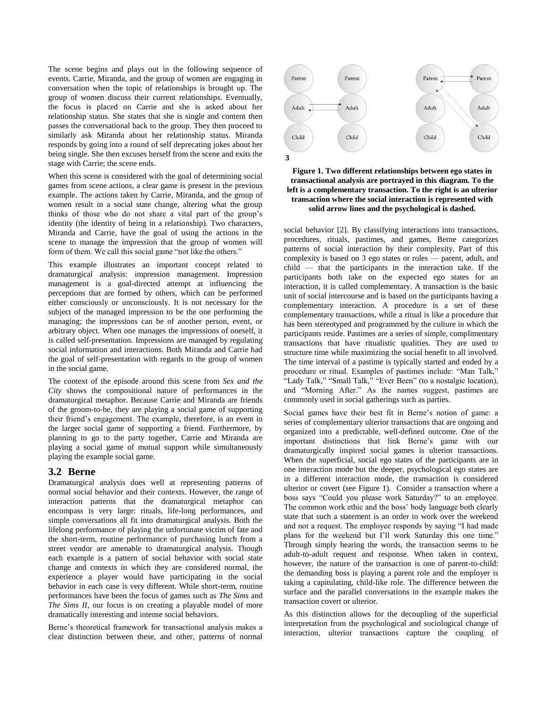The scene begins and plays out in the following sequence of events. Carrie, Miranda, and the group of women are engaging in conversation when the topic of relationships is brought up. The group of women discuss their current relationships. Eventually, the focus is placed on Carrie and she is asked about her relationship status. She states that she is single and content then passes the conversational back to the group. They then proceed to similarly ask Miranda about her relationship status. Miranda responds by going into a round of self deprecating jokes about her being single. She then excuses herself from the scene and exits the stage with Carrie; the scene ends.

When this scene is considered with the goal of determining social games from scene actions, a clear game is present in the previous example. The actions taken by Carrie, Miranda, and the group of women result in a social state change, altering what the group thinks of those who do not share a vital part of the group's identity (the identity of being in a relationship). Two characters, Miranda and Carrie, have the goal of using the actions in the scene to manage the impression that the group of women will form of them. We call this social game "not like the others."

This example illustrates an important concept related to dramaturgical analysis: impression management. Impression management is a goal-directed attempt at influencing the perceptions that are formed by others, which can be performed either consciously or unconsciously. It is not necessary for the subject of the managed impression to be the one performing the managing; the impressions can be of another person, event, or arbitrary object. When one manages the impressions of oneself, it is called self-presentation. Impressions are managed by regulating social information and interactions. Both Miranda and Carrie had the goal of self-presentation with regards to the group of women in the social game.

The context of the episode around this scene from *Sex and the City* shows the compositional nature of performances in the dramaturgical metaphor. Because Carrie and Miranda are friends of the groom-to-be, they are playing a social game of supporting their friend's engagement. The example, therefore, is an event in the larger social game of supporting a friend. Furthermore, by planning to go to the party together, Carrie and Miranda are playing a social game of mutual support while simultaneously playing the example social game.

### **3.2 Berne**

Dramaturgical analysis does well at representing patterns of normal social behavior and their contexts. However, the range of interaction patterns that the dramaturgical metaphor can encompass is very large: rituals, life-long performances, and simple conversations all fit into dramaturgical analysis. Both the lifelong performance of playing the unfortunate victim of fate and the short-term, routine performance of purchasing lunch from a street vendor are amenable to dramaturgical analysis. Though each example is a pattern of social behavior with social state change and contexts in which they are considered normal, the experience a player would have participating in the social behavior in each case is very different. While short-term, routine performances have been the focus of games such as *The Sims* and *The Sims II*, our focus is on creating a playable model of more dramatically interesting and intense social behaviors.

Berne's theoretical framework for transactional analysis makes a clear distinction between these, and other, patterns of normal



**Figure 1. Two different relationships between ego states in transactional analysis are portrayed in this diagram. To the left is a complementary transaction. To the right is an ulterior transaction where the social interaction is represented with solid arrow lines and the psychological is dashed.** 

social behavior [2]. By classifying interactions into transactions, procedures, rituals, pastimes, and games, Berne categorizes patterns of social interaction by their complexity. Part of this complexity is based on 3 ego states or roles — parent, adult, and child — that the participants in the interaction take. If the participants both take on the expected ego states for an interaction, it is called complementary. A transaction is the basic unit of social intercourse and is based on the participants having a complementary interaction. A procedure is a set of these complementary transactions, while a ritual is like a procedure that has been stereotyped and programmed by the culture in which the participants reside. Pastimes are a series of simple, complimentary transactions that have ritualistic qualities. They are used to structure time while maximizing the social benefit to all involved. The time interval of a pastime is typically started and ended by a procedure or ritual. Examples of pastimes include: "Man Talk," "Lady Talk," "Small Talk," "Ever Been" (to a nostalgic location), and "Morning After." As the names suggest, pastimes are commonly used in social gatherings such as parties.

Social games have their best fit in Berne's notion of game: a series of complementary ulterior transactions that are ongoing and organized into a predictable, well-defined outcome. One of the important distinctions that link Berne's game with our dramaturgically inspired social games is ulterior transactions. When the superficial, social ego states of the participants are in one interaction mode but the deeper, psychological ego states are in a different interaction mode, the transaction is considered ulterior or covert (see Figure 1). Consider a transaction where a boss says "Could you please work Saturday?" to an employee. The common work ethic and the boss' body language both clearly state that such a statement is an order to work over the weekend and not a request. The employee responds by saying "I had made plans for the weekend but I'll work Saturday this one time." Through simply hearing the words, the transaction seems to be adult-to-adult request and response. When taken in context, however, the nature of the transaction is one of parent-to-child: the demanding boss is playing a parent role and the employer is taking a capitulating, child-like role. The difference between the surface and the parallel conversations in the example makes the transaction covert or ulterior.

As this distinction allows for the decoupling of the superficial interpretation from the psychological and sociological change of interaction, ulterior transactions capture the coupling of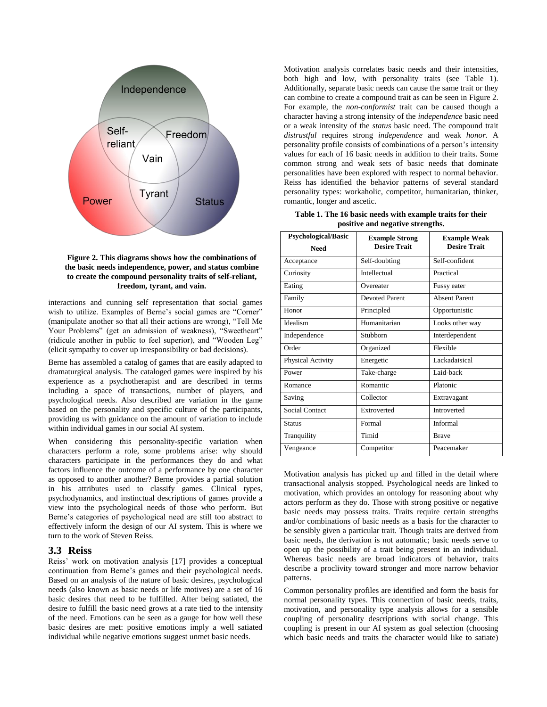

**Figure 2. This diagrams shows how the combinations of the basic needs independence, power, and status combine to create the compound personality traits of self-reliant, freedom, tyrant, and vain.**

interactions and cunning self representation that social games wish to utilize. Examples of Berne's social games are "Corner" (manipulate another so that all their actions are wrong), "Tell Me Your Problems" (get an admission of weakness), "Sweetheart" (ridicule another in public to feel superior), and "Wooden Leg" (elicit sympathy to cover up irresponsibility or bad decisions).

Berne has assembled a catalog of games that are easily adapted to dramaturgical analysis. The cataloged games were inspired by his experience as a psychotherapist and are described in terms including a space of transactions, number of players, and psychological needs. Also described are variation in the game based on the personality and specific culture of the participants, providing us with guidance on the amount of variation to include within individual games in our social AI system.

When considering this personality-specific variation when characters perform a role, some problems arise: why should characters participate in the performances they do and what factors influence the outcome of a performance by one character as opposed to another another? Berne provides a partial solution in his attributes used to classify games. Clinical types, psychodynamics, and instinctual descriptions of games provide a view into the psychological needs of those who perform. But Berne's categories of psychological need are still too abstract to effectively inform the design of our AI system. This is where we turn to the work of Steven Reiss.

# **3.3 Reiss**

Reiss' work on motivation analysis [17] provides a conceptual continuation from Berne's games and their psychological needs. Based on an analysis of the nature of basic desires, psychological needs (also known as basic needs or life motives) are a set of 16 basic desires that need to be fulfilled. After being satiated, the desire to fulfill the basic need grows at a rate tied to the intensity of the need. Emotions can be seen as a gauge for how well these basic desires are met: positive emotions imply a well satiated individual while negative emotions suggest unmet basic needs.

Motivation analysis correlates basic needs and their intensities, both high and low, with personality traits (see Table 1). Additionally, separate basic needs can cause the same trait or they can combine to create a compound trait as can be seen in Figure 2. For example, the *non-conformist* trait can be caused though a character having a strong intensity of the *independence* basic need or a weak intensity of the *status* basic need. The compound trait *distrustful* requires strong *independence* and weak *honor.* A personality profile consists of combinations of a person's intensity values for each of 16 basic needs in addition to their traits. Some common strong and weak sets of basic needs that dominate personalities have been explored with respect to normal behavior. Reiss has identified the behavior patterns of several standard personality types: workaholic, competitor, humanitarian, thinker, romantic, longer and ascetic.

**Table 1. The 16 basic needs with example traits for their positive and negative strengths.**

| <b>Psychological/Basic</b> | <b>Example Strong</b> | <b>Example Weak</b>  |
|----------------------------|-----------------------|----------------------|
| <b>Need</b>                | <b>Desire Trait</b>   | <b>Desire Trait</b>  |
| Acceptance                 | Self-doubting         | Self-confident       |
| Curiosity                  | Intellectual          | Practical            |
| Eating                     | Overeater             | Fussy eater          |
| Family                     | <b>Devoted Parent</b> | <b>Absent Parent</b> |
| Honor                      | Principled            | Opportunistic        |
| Idealism                   | Humanitarian          | Looks other way      |
| Independence               | Stubborn              | Interdependent       |
| Order                      | Organized             | Flexible             |
| Physical Activity          | Energetic             | Lackadaisical        |
| Power                      | Take-charge           | Laid-back            |
| Romance                    | Romantic              | Platonic             |
| Saving                     | Collector             | Extravagant          |
| <b>Social Contact</b>      | Extroverted           | <b>Introverted</b>   |
| <b>Status</b>              | Formal                | Informal             |
| Tranquility                | Timid                 | <b>Brave</b>         |
| Vengeance                  | Competitor            | Peacemaker           |

Motivation analysis has picked up and filled in the detail where transactional analysis stopped. Psychological needs are linked to motivation, which provides an ontology for reasoning about why actors perform as they do. Those with strong positive or negative basic needs may possess traits. Traits require certain strengths and/or combinations of basic needs as a basis for the character to be sensibly given a particular trait. Though traits are derived from basic needs, the derivation is not automatic; basic needs serve to open up the possibility of a trait being present in an individual. Whereas basic needs are broad indicators of behavior, traits describe a proclivity toward stronger and more narrow behavior patterns.

Common personality profiles are identified and form the basis for normal personality types. This connection of basic needs, traits, motivation, and personality type analysis allows for a sensible coupling of personality descriptions with social change. This coupling is present in our AI system as goal selection (choosing which basic needs and traits the character would like to satiate)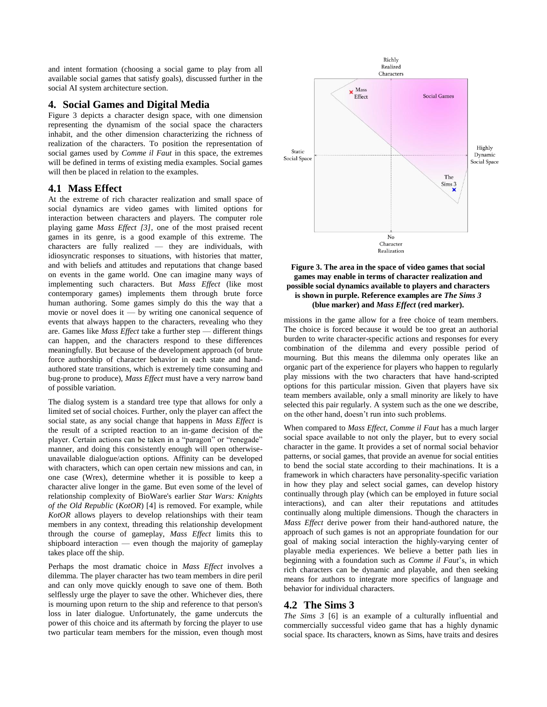and intent formation (choosing a social game to play from all available social games that satisfy goals), discussed further in the social AI system architecture section.

# **4. Social Games and Digital Media**

Figure 3 depicts a character design space, with one dimension representing the dynamism of the social space the characters inhabit, and the other dimension characterizing the richness of realization of the characters. To position the representation of social games used by *Comme il Faut* in this space, the extremes will be defined in terms of existing media examples. Social games will then be placed in relation to the examples.

## **4.1 Mass Effect**

At the extreme of rich character realization and small space of social dynamics are video games with limited options for interaction between characters and players. The computer role playing game *Mass Effect [3]*, one of the most praised recent games in its genre, is a good example of this extreme. The characters are fully realized — they are individuals, with idiosyncratic responses to situations, with histories that matter, and with beliefs and attitudes and reputations that change based on events in the game world. One can imagine many ways of implementing such characters. But *Mass Effect* (like most contemporary games) implements them through brute force human authoring. Some games simply do this the way that a movie or novel does it — by writing one canonical sequence of events that always happen to the characters, revealing who they are. Games like *Mass Effect* take a further step — different things can happen, and the characters respond to these differences meaningfully. But because of the development approach (of brute force authorship of character behavior in each state and handauthored state transitions, which is extremely time consuming and bug-prone to produce), *Mass Effect* must have a very narrow band of possible variation.

The dialog system is a standard tree type that allows for only a limited set of social choices. Further, only the player can affect the social state, as any social change that happens in *Mass Effect* is the result of a scripted reaction to an in-game decision of the player. Certain actions can be taken in a "paragon" or "renegade" manner, and doing this consistently enough will open otherwiseunavailable dialogue/action options. Affinity can be developed with characters, which can open certain new missions and can, in one case (Wrex), determine whether it is possible to keep a character alive longer in the game. But even some of the level of relationship complexity of BioWare's earlier *Star Wars: Knights of the Old Republic* (*KotOR*) [4] is removed. For example, while *KotOR* allows players to develop relationships with their team members in any context, threading this relationship development through the course of gameplay, *Mass Effect* limits this to shipboard interaction — even though the majority of gameplay takes place off the ship.

Perhaps the most dramatic choice in *Mass Effect* involves a dilemma. The player character has two team members in dire peril and can only move quickly enough to save one of them. Both selflessly urge the player to save the other. Whichever dies, there is mourning upon return to the ship and reference to that person's loss in later dialogue. Unfortunately, the game undercuts the power of this choice and its aftermath by forcing the player to use two particular team members for the mission, even though most



#### **Figure 3. The area in the space of video games that social games may enable in terms of character realization and possible social dynamics available to players and characters is shown in purple. Reference examples are** *The Sims 3* **(blue marker) and** *Mass Effect* **(red marker).**

missions in the game allow for a free choice of team members. The choice is forced because it would be too great an authorial burden to write character-specific actions and responses for every combination of the dilemma and every possible period of mourning. But this means the dilemma only operates like an organic part of the experience for players who happen to regularly play missions with the two characters that have hand-scripted options for this particular mission. Given that players have six team members available, only a small minority are likely to have selected this pair regularly. A system such as the one we describe, on the other hand, doesn't run into such problems.

When compared to *Mass Effect*, *Comme il Faut* has a much larger social space available to not only the player, but to every social character in the game. It provides a set of normal social behavior patterns, or social games, that provide an avenue for social entities to bend the social state according to their machinations. It is a framework in which characters have personality-specific variation in how they play and select social games, can develop history continually through play (which can be employed in future social interactions), and can alter their reputations and attitudes continually along multiple dimensions. Though the characters in *Mass Effect* derive power from their hand-authored nature, the approach of such games is not an appropriate foundation for our goal of making social interaction the highly-varying center of playable media experiences. We believe a better path lies in beginning with a foundation such as *Comme il Faut*'s, in which rich characters can be dynamic and playable, and then seeking means for authors to integrate more specifics of language and behavior for individual characters.

# **4.2 The Sims 3**

*The Sims 3* [6] is an example of a culturally influential and commercially successful video game that has a highly dynamic social space. Its characters, known as Sims, have traits and desires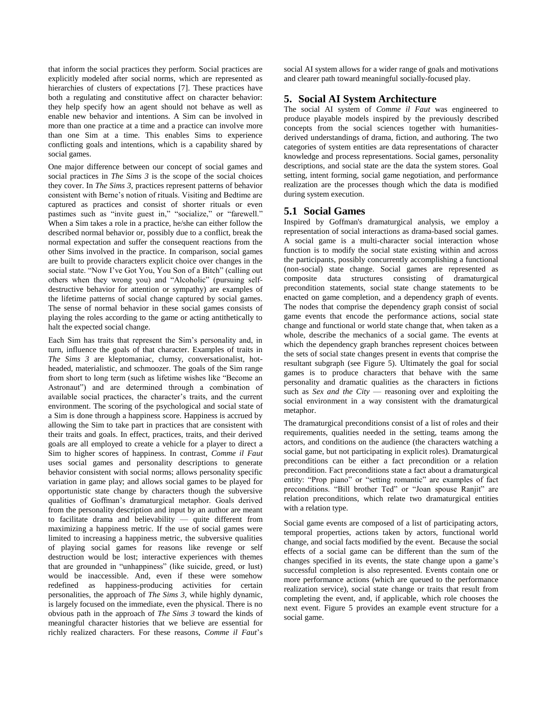that inform the social practices they perform. Social practices are explicitly modeled after social norms, which are represented as hierarchies of clusters of expectations [7]. These practices have both a regulating and constitutive affect on character behavior: they help specify how an agent should not behave as well as enable new behavior and intentions. A Sim can be involved in more than one practice at a time and a practice can involve more than one Sim at a time. This enables Sims to experience conflicting goals and intentions, which is a capability shared by social games.

One major difference between our concept of social games and social practices in *The Sims 3* is the scope of the social choices they cover. In *The Sims 3*, practices represent patterns of behavior consistent with Berne's notion of rituals. Visiting and Bedtime are captured as practices and consist of shorter rituals or even pastimes such as "invite guest in," "socialize," or "farewell." When a Sim takes a role in a practice, he/she can either follow the described normal behavior or, possibly due to a conflict, break the normal expectation and suffer the consequent reactions from the other Sims involved in the practice. In comparison, social games are built to provide characters explicit choice over changes in the social state. "Now I've Got You, You Son of a Bitch" (calling out others when they wrong you) and "Alcoholic" (pursuing selfdestructive behavior for attention or sympathy) are examples of the lifetime patterns of social change captured by social games. The sense of normal behavior in these social games consists of playing the roles according to the game or acting antithetically to halt the expected social change.

Each Sim has traits that represent the Sim's personality and, in turn, influence the goals of that character. Examples of traits in *The Sims 3* are kleptomaniac, clumsy, conversationalist, hotheaded, materialistic, and schmoozer. The goals of the Sim range from short to long term (such as lifetime wishes like "Become an Astronaut") and are determined through a combination of available social practices, the character's traits, and the current environment. The scoring of the psychological and social state of a Sim is done through a happiness score. Happiness is accrued by allowing the Sim to take part in practices that are consistent with their traits and goals. In effect, practices, traits, and their derived goals are all employed to create a vehicle for a player to direct a Sim to higher scores of happiness. In contrast, *Comme il Faut* uses social games and personality descriptions to generate behavior consistent with social norms; allows personality specific variation in game play; and allows social games to be played for opportunistic state change by characters though the subversive qualities of Goffman's dramaturgical metaphor. Goals derived from the personality description and input by an author are meant to facilitate drama and believability — quite different from maximizing a happiness metric. If the use of social games were limited to increasing a happiness metric, the subversive qualities of playing social games for reasons like revenge or self destruction would be lost; interactive experiences with themes that are grounded in "unhappiness" (like suicide, greed, or lust) would be inaccessible. And, even if these were somehow redefined as happiness-producing activities for certain personalities, the approach of *The Sims 3,* while highly dynamic, is largely focused on the immediate, even the physical. There is no obvious path in the approach of *The Sims 3* toward the kinds of meaningful character histories that we believe are essential for richly realized characters. For these reasons, *Comme il Faut*'s

social AI system allows for a wider range of goals and motivations and clearer path toward meaningful socially-focused play.

# **5. Social AI System Architecture**

The social AI system of *Comme il Faut* was engineered to produce playable models inspired by the previously described concepts from the social sciences together with humanitiesderived understandings of drama, fiction, and authoring. The two categories of system entities are data representations of character knowledge and process representations. Social games, personality descriptions, and social state are the data the system stores. Goal setting, intent forming, social game negotiation, and performance realization are the processes though which the data is modified during system execution.

# **5.1 Social Games**

Inspired by Goffman's dramaturgical analysis, we employ a representation of social interactions as drama-based social games. A social game is a multi-character social interaction whose function is to modify the social state existing within and across the participants, possibly concurrently accomplishing a functional (non-social) state change. Social games are represented as composite data structures consisting of dramaturgical precondition statements, social state change statements to be enacted on game completion, and a dependency graph of events. The nodes that comprise the dependency graph consist of social game events that encode the performance actions, social state change and functional or world state change that, when taken as a whole, describe the mechanics of a social game. The events at which the dependency graph branches represent choices between the sets of social state changes present in events that comprise the resultant subgraph (see Figure 5). Ultimately the goal for social games is to produce characters that behave with the same personality and dramatic qualities as the characters in fictions such as *Sex and the City* — reasoning over and exploiting the social environment in a way consistent with the dramaturgical metaphor.

The dramaturgical preconditions consist of a list of roles and their requirements, qualities needed in the setting, teams among the actors, and conditions on the audience (the characters watching a social game, but not participating in explicit roles). Dramaturgical preconditions can be either a fact precondition or a relation precondition. Fact preconditions state a fact about a dramaturgical entity: "Prop piano" or "setting romantic" are examples of fact preconditions. "Bill brother Ted" or "Joan spouse Ranjit" are relation preconditions, which relate two dramaturgical entities with a relation type.

Social game events are composed of a list of participating actors, temporal properties, actions taken by actors, functional world change, and social facts modified by the event. Because the social effects of a social game can be different than the sum of the changes specified in its events, the state change upon a game's successful completion is also represented. Events contain one or more performance actions (which are queued to the performance realization service), social state change or traits that result from completing the event, and, if applicable, which role chooses the next event. Figure 5 provides an example event structure for a social game.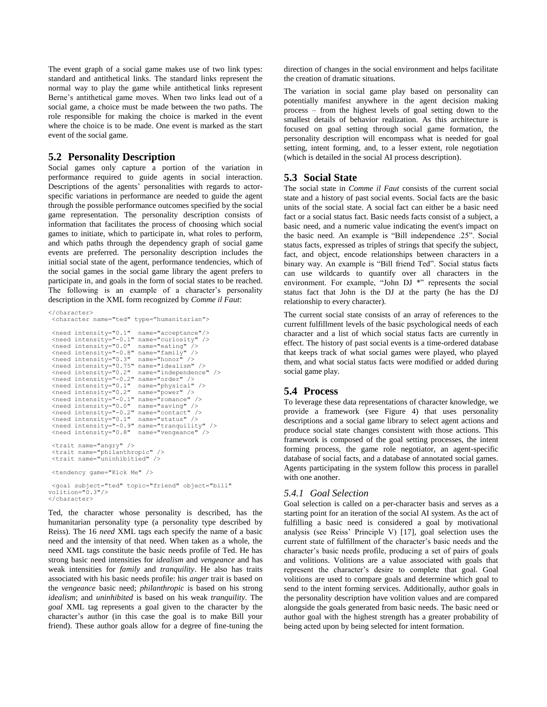The event graph of a social game makes use of two link types: standard and antithetical links. The standard links represent the normal way to play the game while antithetical links represent Berne's antithetical game moves. When two links lead out of a social game, a choice must be made between the two paths. The role responsible for making the choice is marked in the event where the choice is to be made. One event is marked as the start event of the social game.

# **5.2 Personality Description**

Social games only capture a portion of the variation in performance required to guide agents in social interaction. Descriptions of the agents' personalities with regards to actorspecific variations in performance are needed to guide the agent through the possible performance outcomes specified by the social game representation. The personality description consists of information that facilitates the process of choosing which social games to initiate, which to participate in, what roles to perform, and which paths through the dependency graph of social game events are preferred. The personality description includes the initial social state of the agent, performance tendencies, which of the social games in the social game library the agent prefers to participate in, and goals in the form of social states to be reached. The following is an example of a character's personality description in the XML form recognized by *Comme il Faut*:

```
</character>
 <character name="ted" type="humanitarian">
 <need intensity="0.1" name="acceptance"/>
 <need intensity="-0.1" name="curiosity" />
 <need intensity="0.0" name="eating" />
 <need intensity="-0.8" name="family" />
<need intensity="0.3" name="honor" />
<need intensity="0.75" name="idealism" />
 <need intensity="0.2" name="independence" />
 <need intensity="-0.2" name="order" />
 <need intensity="0.1" name="physical" />
 <need intensity="0.2" name="power" />
<need intensity="-0.1" name="romance" />
 <need intensity="0.0" name="saving" />
 x = 0.2" name y = 0.2" name="contact"
 <need intensity="0.1" name="status" />
<need intensity="-0.9" name="tranquility" />
<need intensity="0.8" name="vengeance" />
 <trait name="angry" />
 <trait name="philanthropic" />
<trait name="uninhibitied" />
 <tendency game="Kick Me" />
 <goal subject="ted" topic="friend" object="bill"
volition="0.3"/>
</character>
```
Ted, the character whose personality is described, has the humanitarian personality type (a personality type described by Reiss). The 16 *need* XML tags each specify the name of a basic need and the intensity of that need. When taken as a whole, the need XML tags constitute the basic needs profile of Ted. He has strong basic need intensities for *idealism* and *vengeance* and has weak intensities for *family* and *tranquility*. He also has traits associated with his basic needs profile: his *anger* trait is based on the *vengeance* basic need; *philanthropic* is based on his strong *idealism*; and *uninhibited* is based on his weak *tranquility*. The *goal* XML tag represents a goal given to the character by the character's author (in this case the goal is to make Bill your friend). These author goals allow for a degree of fine-tuning the

direction of changes in the social environment and helps facilitate the creation of dramatic situations.

The variation in social game play based on personality can potentially manifest anywhere in the agent decision making process – from the highest levels of goal setting down to the smallest details of behavior realization. As this architecture is focused on goal setting through social game formation, the personality description will encompass what is needed for goal setting, intent forming, and, to a lesser extent, role negotiation (which is detailed in the social AI process description).

# **5.3 Social State**

The social state in *Comme il Faut* consists of the current social state and a history of past social events. Social facts are the basic units of the social state. A social fact can either be a basic need fact or a social status fact. Basic needs facts consist of a subject, a basic need, and a numeric value indicating the event's impact on the basic need. An example is "Bill independence .25". Social status facts, expressed as triples of strings that specify the subject, fact, and object, encode relationships between characters in a binary way. An example is "Bill friend Ted". Social status facts can use wildcards to quantify over all characters in the environment. For example, "John DJ \*" represents the social status fact that John is the DJ at the party (he has the DJ relationship to every character).

The current social state consists of an array of references to the current fulfillment levels of the basic psychological needs of each character and a list of which social status facts are currently in effect. The history of past social events is a time-ordered database that keeps track of what social games were played, who played them, and what social status facts were modified or added during social game play.

# **5.4 Process**

To leverage these data representations of character knowledge, we provide a framework (see Figure 4) that uses personality descriptions and a social game library to select agent actions and produce social state changes consistent with those actions. This framework is composed of the goal setting processes, the intent forming process, the game role negotiator, an agent-specific database of social facts, and a database of annotated social games. Agents participating in the system follow this process in parallel with one another.

# *5.4.1 Goal Selection*

Goal selection is called on a per-character basis and serves as a starting point for an iteration of the social AI system. As the act of fulfilling a basic need is considered a goal by motivational analysis (see Reiss' Principle V) [17], goal selection uses the current state of fulfillment of the character's basic needs and the character's basic needs profile, producing a set of pairs of goals and volitions. Volitions are a value associated with goals that represent the character's desire to complete that goal. Goal volitions are used to compare goals and determine which goal to send to the intent forming services. Additionally, author goals in the personality description have volition values and are compared alongside the goals generated from basic needs. The basic need or author goal with the highest strength has a greater probability of being acted upon by being selected for intent formation.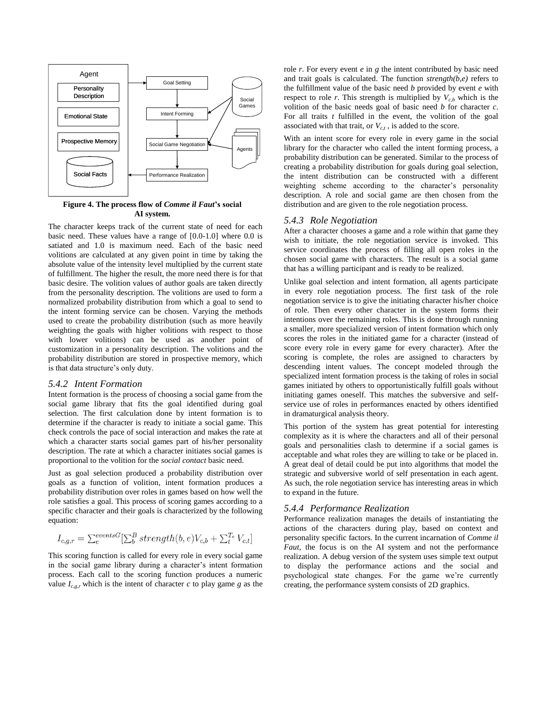

**Figure 4. The process flow of** *Comme il Faut***'s social AI system.**

The character keeps track of the current state of need for each basic need. These values have a range of [0.0-1.0] where 0.0 is satiated and 1.0 is maximum need. Each of the basic need volitions are calculated at any given point in time by taking the absolute value of the intensity level multiplied by the current state of fulfillment. The higher the result, the more need there is for that basic desire. The volition values of author goals are taken directly from the personality description. The volitions are used to form a normalized probability distribution from which a goal to send to the intent forming service can be chosen. Varying the methods used to create the probability distribution (such as more heavily weighting the goals with higher volitions with respect to those with lower volitions) can be used as another point of customization in a personality description. The volitions and the probability distribution are stored in prospective memory, which is that data structure's only duty.

#### *5.4.2 Intent Formation*

Intent formation is the process of choosing a social game from the social game library that fits the goal identified during goal selection. The first calculation done by intent formation is to determine if the character is ready to initiate a social game. This check controls the pace of social interaction and makes the rate at which a character starts social games part of his/her personality description. The rate at which a character initiates social games is proportional to the volition for the *social contact* basic need.

Just as goal selection produced a probability distribution over goals as a function of volition, intent formation produces a probability distribution over roles in games based on how well the role satisfies a goal. This process of scoring games according to a specific character and their goals is characterized by the following equation:

$$
I_{c,g,r} = \sum_{e}^{eventsG} [\sum_{b}^{B} strength(b,e)V_{c,b} + \sum_{t}^{T_e} V_{c,t}]
$$

This scoring function is called for every role in every social game in the social game library during a character's intent formation process. Each call to the scoring function produces a numeric value  $I_{c,q,r}$  which is the intent of character *c* to play game *g* as the role  $r$ . For every event  $e$  in  $g$  the intent contributed by basic need and trait goals is calculated. The function *strength(b,e)* refers to the fulfillment value of the basic need *b* provided by event *e* with respect to role  $r$ . This strength is multiplied by  $V_{c,b}$  which is the volition of the basic needs goal of basic need *b* for character *c*. For all traits *t* fulfilled in the event, the volition of the goal associated with that trait, or  $V_{c,t}$ , is added to the score.

With an intent score for every role in every game in the social library for the character who called the intent forming process, a probability distribution can be generated. Similar to the process of creating a probability distribution for goals during goal selection, the intent distribution can be constructed with a different weighting scheme according to the character's personality description. A role and social game are then chosen from the distribution and are given to the role negotiation process.

#### *5.4.3 Role Negotiation*

After a character chooses a game and a role within that game they wish to initiate, the role negotiation service is invoked. This service coordinates the process of filling all open roles in the chosen social game with characters. The result is a social game that has a willing participant and is ready to be realized.

Unlike goal selection and intent formation, all agents participate in every role negotiation process. The first task of the role negotiation service is to give the initiating character his/her choice of role. Then every other character in the system forms their intentions over the remaining roles. This is done through running a smaller, more specialized version of intent formation which only scores the roles in the initiated game for a character (instead of score every role in every game for every character). After the scoring is complete, the roles are assigned to characters by descending intent values. The concept modeled through the specialized intent formation process is the taking of roles in social games initiated by others to opportunistically fulfill goals without initiating games oneself. This matches the subversive and selfservice use of roles in performances enacted by others identified in dramaturgical analysis theory.

This portion of the system has great potential for interesting complexity as it is where the characters and all of their personal goals and personalities clash to determine if a social games is acceptable and what roles they are willing to take or be placed in. A great deal of detail could be put into algorithms that model the strategic and subversive world of self presentation in each agent. As such, the role negotiation service has interesting areas in which to expand in the future.

#### *5.4.4 Performance Realization*

Performance realization manages the details of instantiating the actions of the characters during play, based on context and personality specific factors. In the current incarnation of *Comme il Faut*, the focus is on the AI system and not the performance realization. A debug version of the system uses simple text output to display the performance actions and the social and psychological state changes. For the game we're currently creating, the performance system consists of 2D graphics.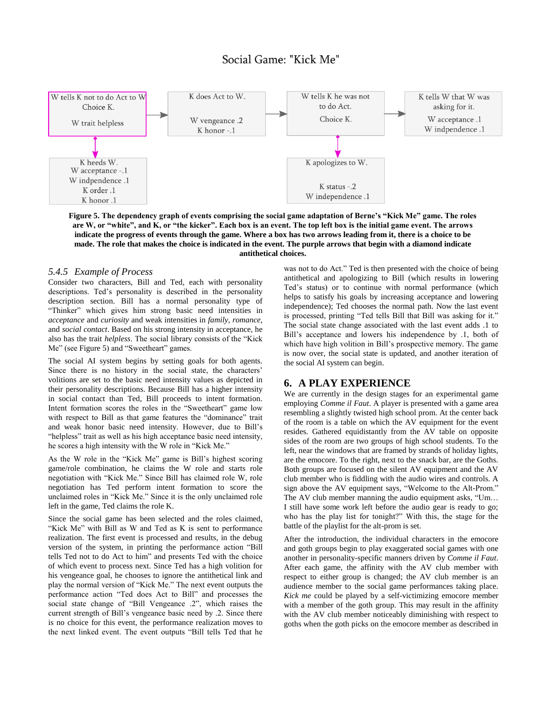# Social Game: "Kick Me"



**Figure 5. The dependency graph of events comprising the social game adaptation of Berne's "Kick Me" game. The roles are W, or "white", and K, or "the kicker". Each box is an event. The top left box is the initial game event. The arrows indicate the progress of events through the game. Where a box has two arrows leading from it, there is a choice to be made. The role that makes the choice is indicated in the event. The purple arrows that begin with a diamond indicate antithetical choices.**

#### *5.4.5 Example of Process*

Consider two characters, Bill and Ted, each with personality descriptions. Ted's personality is described in the personality description section. Bill has a normal personality type of ―Thinker‖ which gives him strong basic need intensities in *acceptance* and *curiosity* and weak intensities in *family, romance,* and *social contact*. Based on his strong intensity in acceptance, he also has the trait *helpless*. The social library consists of the "Kick Me" (see Figure 5) and "Sweetheart" games.

The social AI system begins by setting goals for both agents. Since there is no history in the social state, the characters' volitions are set to the basic need intensity values as depicted in their personality descriptions. Because Bill has a higher intensity in social contact than Ted, Bill proceeds to intent formation. Intent formation scores the roles in the "Sweetheart" game low with respect to Bill as that game features the "dominance" trait and weak honor basic need intensity. However, due to Bill's "helpless" trait as well as his high acceptance basic need intensity, he scores a high intensity with the W role in "Kick Me."

As the W role in the "Kick Me" game is Bill's highest scoring game/role combination, he claims the W role and starts role negotiation with "Kick Me." Since Bill has claimed role W, role negotiation has Ted perform intent formation to score the unclaimed roles in "Kick Me." Since it is the only unclaimed role left in the game, Ted claims the role K.

Since the social game has been selected and the roles claimed, "Kick Me" with Bill as W and Ted as K is sent to performance realization. The first event is processed and results, in the debug version of the system, in printing the performance action "Bill tells Ted not to do Act to him" and presents Ted with the choice of which event to process next. Since Ted has a high volition for his vengeance goal, he chooses to ignore the antithetical link and play the normal version of "Kick Me." The next event outputs the performance action "Ted does Act to Bill" and processes the social state change of "Bill Vengeance .2", which raises the current strength of Bill's vengeance basic need by .2. Since there is no choice for this event, the performance realization moves to the next linked event. The event outputs "Bill tells Ted that he

was not to do Act." Ted is then presented with the choice of being antithetical and apologizing to Bill (which results in lowering Ted's status) or to continue with normal performance (which helps to satisfy his goals by increasing acceptance and lowering independence); Ted chooses the normal path. Now the last event is processed, printing "Ted tells Bill that Bill was asking for it." The social state change associated with the last event adds .1 to Bill's acceptance and lowers his independence by .1, both of which have high volition in Bill's prospective memory. The game is now over, the social state is updated, and another iteration of the social AI system can begin.

# **6. A PLAY EXPERIENCE**

We are currently in the design stages for an experimental game employing *Comme il Faut*. A player is presented with a game area resembling a slightly twisted high school prom. At the center back of the room is a table on which the AV equipment for the event resides. Gathered equidistantly from the AV table on opposite sides of the room are two groups of high school students. To the left, near the windows that are framed by strands of holiday lights, are the emocore. To the right, next to the snack bar, are the Goths. Both groups are focused on the silent AV equipment and the AV club member who is fiddling with the audio wires and controls. A sign above the AV equipment says, "Welcome to the Alt-Prom." The AV club member manning the audio equipment asks,  $"Um...$ I still have some work left before the audio gear is ready to go; who has the play list for tonight?" With this, the stage for the battle of the playlist for the alt-prom is set.

After the introduction, the individual characters in the emocore and goth groups begin to play exaggerated social games with one another in personality-specific manners driven by *Comme il Faut*. After each game, the affinity with the AV club member with respect to either group is changed; the AV club member is an audience member to the social game performances taking place. *Kick me* could be played by a self-victimizing emocore member with a member of the goth group. This may result in the affinity with the AV club member noticeably diminishing with respect to goths when the goth picks on the emocore member as described in